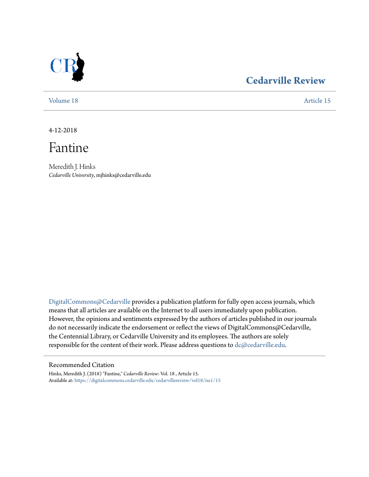

## **[Cedarville Review](https://digitalcommons.cedarville.edu/cedarvillereview?utm_source=digitalcommons.cedarville.edu%2Fcedarvillereview%2Fvol18%2Fiss1%2F15&utm_medium=PDF&utm_campaign=PDFCoverPages)**

[Volume 18](https://digitalcommons.cedarville.edu/cedarvillereview/vol18?utm_source=digitalcommons.cedarville.edu%2Fcedarvillereview%2Fvol18%2Fiss1%2F15&utm_medium=PDF&utm_campaign=PDFCoverPages) [Article 15](https://digitalcommons.cedarville.edu/cedarvillereview/vol18/iss1/15?utm_source=digitalcommons.cedarville.edu%2Fcedarvillereview%2Fvol18%2Fiss1%2F15&utm_medium=PDF&utm_campaign=PDFCoverPages)

4-12-2018

Fantine

Meredith J. Hinks *Cedarville University*, mjhinks@cedarville.edu

[DigitalCommons@Cedarville](http://digitalcommons.cedarville.edu/) provides a publication platform for fully open access journals, which means that all articles are available on the Internet to all users immediately upon publication. However, the opinions and sentiments expressed by the authors of articles published in our journals do not necessarily indicate the endorsement or reflect the views of DigitalCommons@Cedarville, the Centennial Library, or Cedarville University and its employees. The authors are solely responsible for the content of their work. Please address questions to [dc@cedarville.edu](mailto:dc@cedarville.edu).

#### Recommended Citation

Hinks, Meredith J. (2018) "Fantine," *Cedarville Review*: Vol. 18 , Article 15. Available at: [https://digitalcommons.cedarville.edu/cedarvillereview/vol18/iss1/15](https://digitalcommons.cedarville.edu/cedarvillereview/vol18/iss1/15?utm_source=digitalcommons.cedarville.edu%2Fcedarvillereview%2Fvol18%2Fiss1%2F15&utm_medium=PDF&utm_campaign=PDFCoverPages)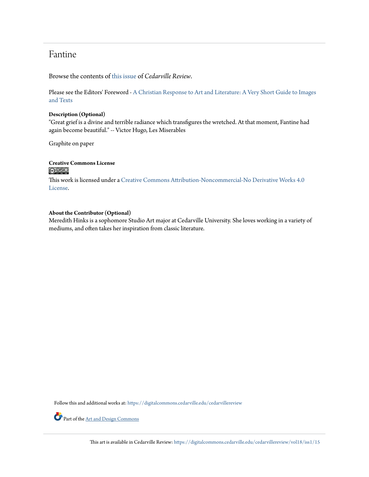### Fantine

Browse the contents of [this issue](https://digitalcommons.cedarville.edu/cedarvillereview/vol18/iss1) of *Cedarville Review*.

Please see the Editors' Foreword - [A Christian Response to Art and Literature: A Very Short Guide to Images](http://digitalcommons.cedarville.edu/cedarvillereview/vol18/iss1/1/) [and Texts](http://digitalcommons.cedarville.edu/cedarvillereview/vol18/iss1/1/)

#### **Description (Optional)**

"Great grief is a divine and terrible radiance which transfigures the wretched. At that moment, Fantine had again become beautiful." -- Victor Hugo, Les Miserables

Graphite on paper

# **Creative Commons License**

This work is licensed under a [Creative Commons Attribution-Noncommercial-No Derivative Works 4.0](http://creativecommons.org/licenses/by-nc-nd/4.0/) [License.](http://creativecommons.org/licenses/by-nc-nd/4.0/)

#### **About the Contributor (Optional)**

Meredith Hinks is a sophomore Studio Art major at Cedarville University. She loves working in a variety of mediums, and often takes her inspiration from classic literature.

Follow this and additional works at: [https://digitalcommons.cedarville.edu/cedarvillereview](https://digitalcommons.cedarville.edu/cedarvillereview?utm_source=digitalcommons.cedarville.edu%2Fcedarvillereview%2Fvol18%2Fiss1%2F15&utm_medium=PDF&utm_campaign=PDFCoverPages)

Part of the <u>[Art and Design Commons](http://network.bepress.com/hgg/discipline/1049?utm_source=digitalcommons.cedarville.edu%2Fcedarvillereview%2Fvol18%2Fiss1%2F15&utm_medium=PDF&utm_campaign=PDFCoverPages)</u>

This art is available in Cedarville Review: [https://digitalcommons.cedarville.edu/cedarvillereview/vol18/iss1/15](https://digitalcommons.cedarville.edu/cedarvillereview/vol18/iss1/15?utm_source=digitalcommons.cedarville.edu%2Fcedarvillereview%2Fvol18%2Fiss1%2F15&utm_medium=PDF&utm_campaign=PDFCoverPages)